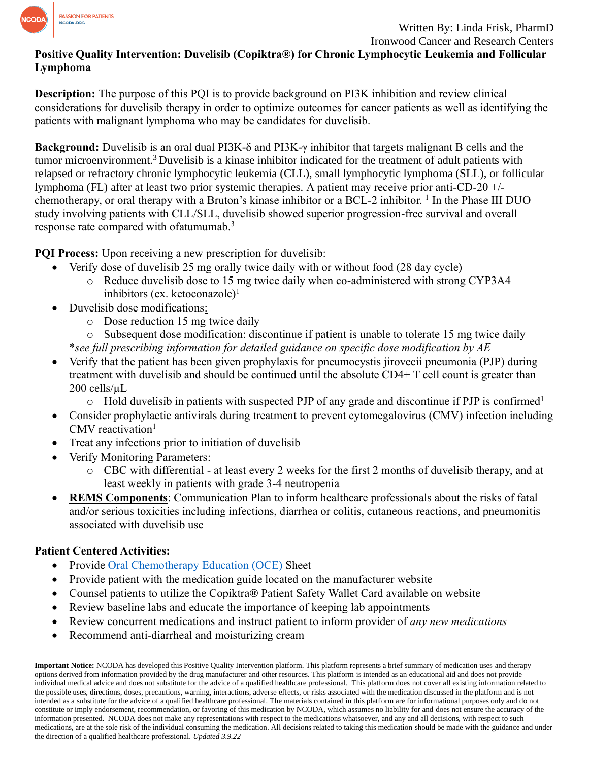

## **Positive Quality Intervention: Duvelisib (Copiktra®) for Chronic Lymphocytic Leukemia and Follicular Lymphoma**

**Description:** The purpose of this PQI is to provide background on PI3K inhibition and review clinical considerations for duvelisib therapy in order to optimize outcomes for cancer patients as well as identifying the patients with malignant lymphoma who may be candidates for duvelisib.

**Background:** Duvelisib is an oral dual PI3K-δ and PI3K-γ inhibitor that targets malignant B cells and the tumor microenvironment.<sup>3</sup> Duvelisib is a kinase inhibitor indicated for the treatment of adult patients with relapsed or refractory chronic lymphocytic leukemia (CLL), small lymphocytic lymphoma (SLL), or follicular lymphoma (FL) after at least two prior systemic therapies. A patient may receive prior anti-CD-20 +/ chemotherapy, or oral therapy with a Bruton's kinase inhibitor or a BCL-2 inhibitor. <sup>1</sup> In the Phase III DUO study involving patients with CLL/SLL, duvelisib showed superior progression-free survival and overall response rate compared with of a tumumab.<sup>3</sup>

**PQI Process:** Upon receiving a new prescription for duvelisib:

- Verify dose of duvelisib 25 mg orally twice daily with or without food (28 day cycle)
	- o Reduce duvelisib dose to 15 mg twice daily when co-administered with strong CYP3A4 inhibitors (ex. ketoconazole) $<sup>1</sup>$ </sup>
- Duvelisib dose modifications:
	- o Dose reduction 15 mg twice daily
	- $\circ$  Subsequent dose modification: discontinue if patient is unable to tolerate 15 mg twice daily
	- \**see full prescribing information for detailed guidance on specific dose modification by AE*
- Verify that the patient has been given prophylaxis for pneumocystis jirovecii pneumonia (PJP) during treatment with duvelisib and should be continued until the absolute CD4+ T cell count is greater than  $200$  cells/ $\mu$ L
	- $\circ$  Hold duvelisib in patients with suspected PJP of any grade and discontinue if PJP is confirmed<sup>1</sup>
- Consider prophylactic antivirals during treatment to prevent cytomegalovirus (CMV) infection including  $CMV$  reactivation<sup>1</sup>
- Treat any infections prior to initiation of duvelisib
- Verify Monitoring Parameters:
	- o CBC with differential at least every 2 weeks for the first 2 months of duvelisib therapy, and at least weekly in patients with grade 3-4 neutropenia
- **REMS Components:** Communication Plan to inform healthcare professionals about the risks of fatal and/or serious toxicities including infections, diarrhea or colitis, cutaneous reactions, and pneumonitis associated with duvelisib use

## **Patient Centered Activities:**

- Provide [Oral Chemotherapy Education \(OCE\)](https://www.oralchemoedsheets.com/index.php/sheet-library/24-available/generic/387-duvelisib) Sheet
- Provide patient with the medication guide located on the manufacturer website
- Counsel patients to utilize the Copiktra**®** Patient Safety Wallet Card available on website
- Review baseline labs and educate the importance of keeping lab appointments
- Review concurrent medications and instruct patient to inform provider of *any new medications*
- Recommend anti-diarrheal and moisturizing cream

**Important Notice:** NCODA has developed this Positive Quality Intervention platform. This platform represents a brief summary of medication uses and therapy options derived from information provided by the drug manufacturer and other resources. This platform is intended as an educational aid and does not provide individual medical advice and does not substitute for the advice of a qualified healthcare professional. This platform does not cover all existing information related to the possible uses, directions, doses, precautions, warning, interactions, adverse effects, or risks associated with the medication discussed in the platform and is not intended as a substitute for the advice of a qualified healthcare professional. The materials contained in this platform are for informational purposes only and do not constitute or imply endorsement, recommendation, or favoring of this medication by NCODA, which assumes no liability for and does not ensure the accuracy of the information presented. NCODA does not make any representations with respect to the medications whatsoever, and any and all decisions, with respect to such medications, are at the sole risk of the individual consuming the medication. All decisions related to taking this medication should be made with the guidance and under the direction of a qualified healthcare professional. *Updated 3.9.22*